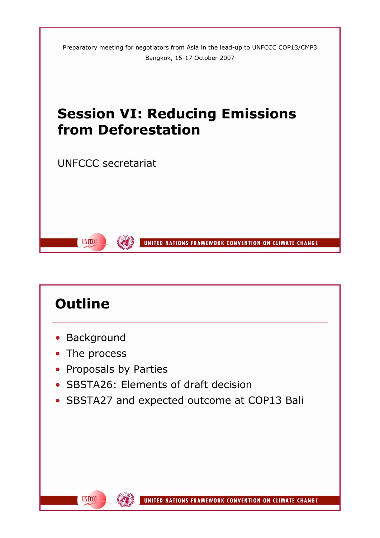

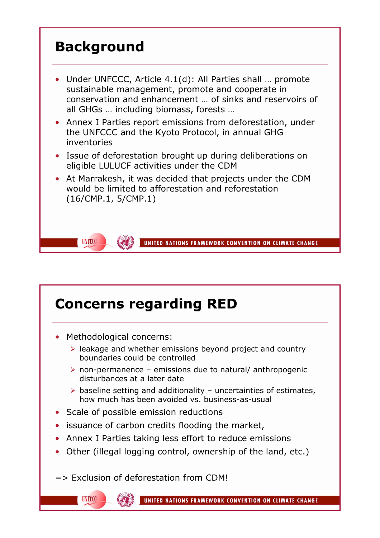# **Background**

**UNFCCC** 

₩.

- Under UNFCCC, Article 4.1(d): All Parties shall ... promote sustainable management, promote and cooperate in conservation and enhancement … of sinks and reservoirs of all GHGs … including biomass, forests …
- Annex I Parties report emissions from deforestation, under the UNFCCC and the Kyoto Protocol, in annual GHG inventories
- Issue of deforestation brought up during deliberations on eligible LULUCF activities under the CDM
- At Marrakesh, it was decided that projects under the CDM would be limited to afforestation and reforestation (16/CMP.1, 5/CMP.1)

UNITED NATIONS FRAMEWORK CONVENTION ON CLIMATE CHANGE

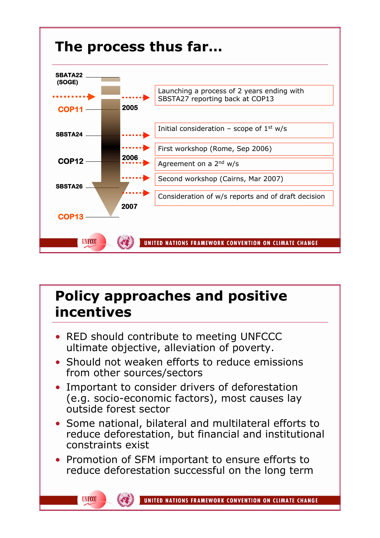

#### **Policy approaches and positive incentives**

- RED should contribute to meeting UNFCCC ultimate objective, alleviation of poverty.
- Should not weaken efforts to reduce emissions from other sources/sectors
- Important to consider drivers of deforestation (e.g. socio-economic factors), most causes lay outside forest sector
- Some national, bilateral and multilateral efforts to reduce deforestation, but financial and institutional constraints exist
- Promotion of SFM important to ensure efforts to reduce deforestation successful on the long term

**UNFCCC** 

 $\mathbb{R}^2$  .

UNITED NATIONS FRAMEWORK CONVENTION ON CLIMATE CHANGE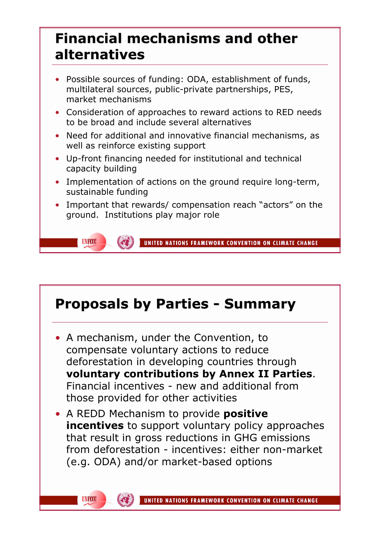### **Financial mechanisms and other alternatives**

• Possible sources of funding: ODA, establishment of funds, multilateral sources, public-private partnerships, PES, market mechanisms • Consideration of approaches to reward actions to RED needs to be broad and include several alternatives • Need for additional and innovative financial mechanisms, as well as reinforce existing support • Up-front financing needed for institutional and technical capacity building • Implementation of actions on the ground require long-term, sustainable funding • Important that rewards/ compensation reach "actors" on the ground. Institutions play major role

UNITED NATIONS FRAMEWORK CONVENTION ON CLIMATE CHANGE

**UNFCCC** 

₩.

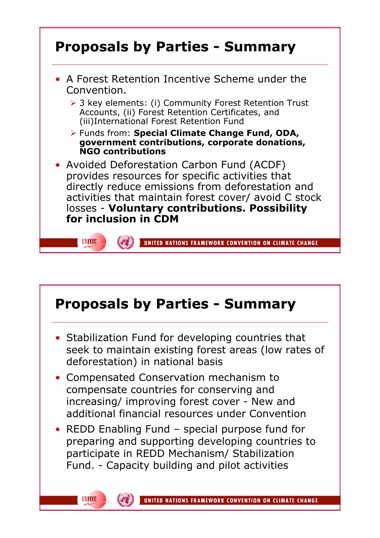

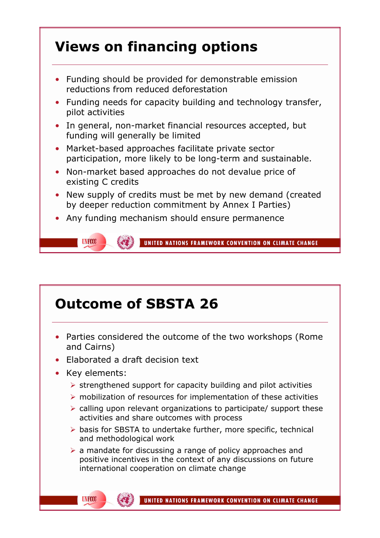# **Views on financing options**

- Funding should be provided for demonstrable emission reductions from reduced deforestation • Funding needs for capacity building and technology transfer,
- pilot activities
- In general, non-market financial resources accepted, but funding will generally be limited
- Market-based approaches facilitate private sector participation, more likely to be long-term and sustainable.
- Non-market based approaches do not devalue price of existing C credits
- New supply of credits must be met by new demand (created by deeper reduction commitment by Annex I Parties)
- Any funding mechanism should ensure permanence



UNITED NATIONS FRAMEWORK CONVENTION ON CLIMATE CHANGE

# **Outcome of SBSTA 26**

- Parties considered the outcome of the two workshops (Rome and Cairns)
- Elaborated a draft decision text
- Key elements:

**UNFCCC** 

- $\triangleright$  strengthened support for capacity building and pilot activities
- $\triangleright$  mobilization of resources for implementation of these activities
- $\triangleright$  calling upon relevant organizations to participate/ support these activities and share outcomes with process
- $\triangleright$  basis for SBSTA to undertake further, more specific, technical and methodological work
- $\triangleright$  a mandate for discussing a range of policy approaches and positive incentives in the context of any discussions on future international cooperation on climate change

UNITED NATIONS FRAMEWORK CONVENTION ON CLIMATE CHANGE